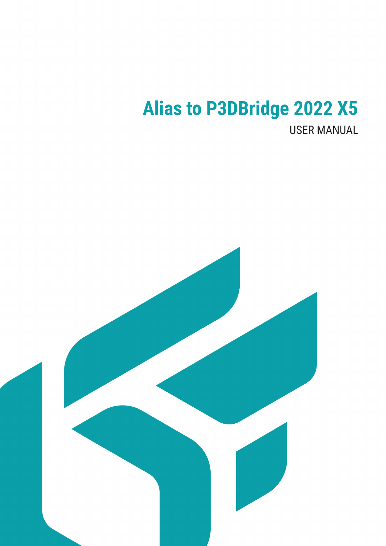# **Alias to P3DBridge 2022 X5**

**USER MANUAL** 

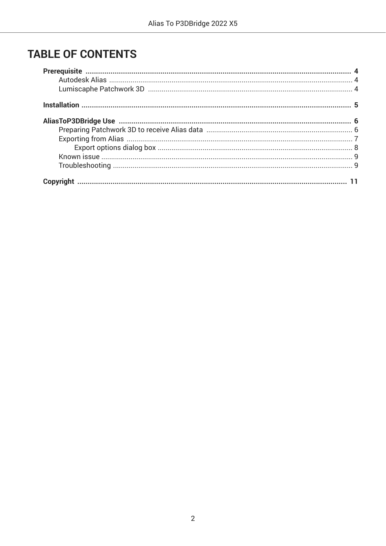# **TABLE OF CONTENTS**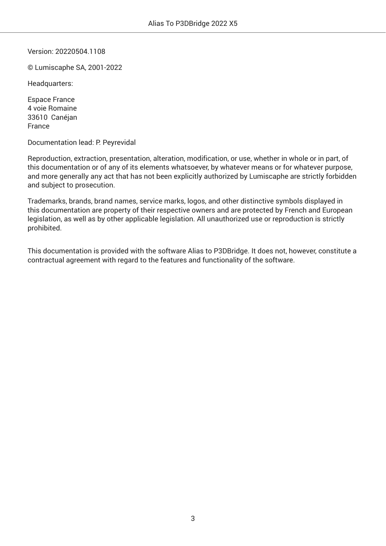Version: 20220504.1108

© Lumiscaphe SA, 2001-2022

Headquarters:

Espace France 4 voie Romaine 33610 Canéjan France

Documentation lead: P. Peyrevidal

Reproduction, extraction, presentation, alteration, modification, or use, whether in whole or in part, of this documentation or of any of its elements whatsoever, by whatever means or for whatever purpose, and more generally any act that has not been explicitly authorized by Lumiscaphe are strictly forbidden and subject to prosecution.

Trademarks, brands, brand names, service marks, logos, and other distinctive symbols displayed in this documentation are property of their respective owners and are protected by French and European legislation, as well as by other applicable legislation. All unauthorized use or reproduction is strictly prohibited.

This documentation is provided with the software Alias to P3DBridge. It does not, however, constitute a contractual agreement with regard to the features and functionality of the software.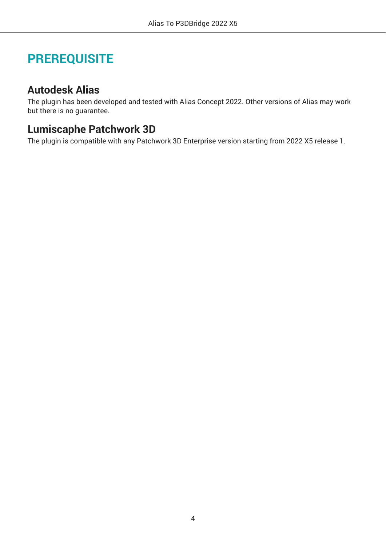# <span id="page-3-0"></span>**PREREQUISITE**

### **Autodesk Alias**

The plugin has been developed and tested with Alias Concept 2022. Other versions of Alias may work but there is no guarantee.

### **Lumiscaphe Patchwork 3D**

The plugin is compatible with any Patchwork 3D Enterprise version starting from 2022 X5 release 1.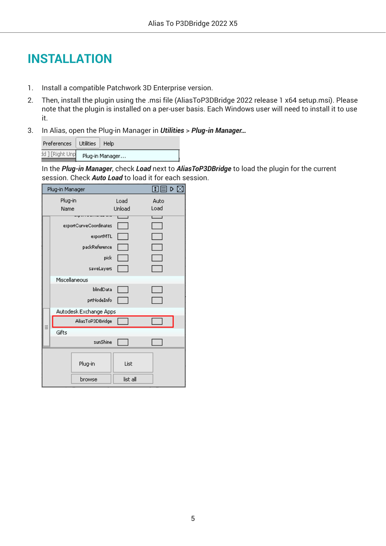# <span id="page-4-0"></span>**INSTALLATION**

- 1. Install a compatible Patchwork 3D Enterprise version.
- 2. Then, install the plugin using the .msi file (AliasToP3DBridge 2022 release 1 x64 setup.msi). Please note that the plugin is installed on a per-user basis. Each Windows user will need to install it to use it.
- 3. In Alias, open the Plug-in Manager in *Utilities* > *Plug-in Manager…*

| Preferences     | Utilities   Help |  |  |
|-----------------|------------------|--|--|
| dd ] [Right Unp | Plug-in Manager  |  |  |

In the *Plug-in Manager*, check *Load* next to *AliasToP3DBridge* to load the plugin for the current session. Check *Auto Load* to load it for each session.

| 国国<br>D<br>Plug-in Manager |          |      |  |  |  |
|----------------------------|----------|------|--|--|--|
| Plug-in                    | Load     | Auto |  |  |  |
| Name                       | Unload   | Load |  |  |  |
| exportCurveCoordinates     |          |      |  |  |  |
| exportMTL                  |          |      |  |  |  |
| packReference              |          |      |  |  |  |
| pick                       |          |      |  |  |  |
| saveLayers                 |          |      |  |  |  |
| Miscellaneous              |          |      |  |  |  |
| blindData                  |          |      |  |  |  |
| prtNodeInfo                |          |      |  |  |  |
| Autodesk Exchange Apps     |          |      |  |  |  |
| AliasToP3DBridge           |          |      |  |  |  |
| Gifts                      |          |      |  |  |  |
| sunShine                   |          |      |  |  |  |
| Plug-in                    | List     |      |  |  |  |
| browse                     | list all |      |  |  |  |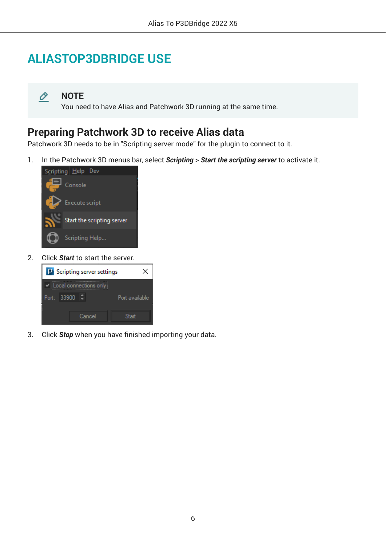# <span id="page-5-0"></span>**ALIASTOP3DBRIDGE USE**

O **NOTE**

You need to have Alias and Patchwork 3D running at the same time.

### **Preparing Patchwork 3D to receive Alias data**

Patchwork 3D needs to be in "Scripting server mode" for the plugin to connect to it.

1. In the Patchwork 3D menus bar, select *Scripting* > *Start the scripting server* to activate it.



2. Click *Start* to start the server.



3. Click *Stop* when you have finished importing your data.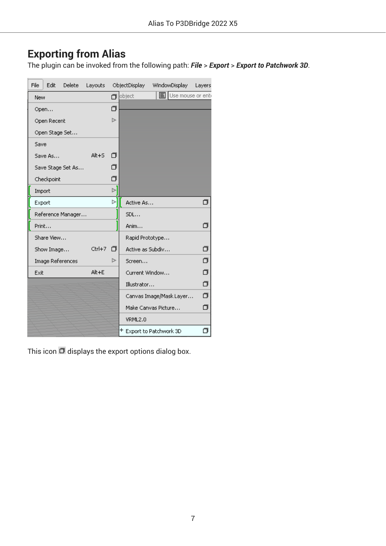### <span id="page-6-0"></span>**Exporting from Alias**

The plugin can be invoked from the following path: *File* > *Export* > *Export to Patchwork 3D*.

| File | Edit             | Delete            | Layouts   |                |                  | ObjectDisplay WindowDisplay | Layers                |
|------|------------------|-------------------|-----------|----------------|------------------|-----------------------------|-----------------------|
| New  |                  |                   |           |                | $\Box$ object    | <b>国</b> Use mouse or enti  |                       |
|      | Open             |                   |           | σ              |                  |                             |                       |
|      | Open Recent      |                   |           | 넘.             |                  |                             |                       |
|      | Open Stage Set   |                   |           |                |                  |                             |                       |
| Save |                  |                   |           |                |                  |                             |                       |
|      | Save As          |                   | $Alt + 5$ | п              |                  |                             |                       |
|      |                  | Save Stage Set As |           | ⊓              |                  |                             |                       |
|      | Checkpoint       |                   |           | σ              |                  |                             |                       |
|      | Import           |                   |           | $\mathbb{R}^2$ |                  |                             |                       |
|      | Export           |                   |           | Ы              | Active As        |                             | σ                     |
|      |                  | Reference Manager |           |                | SDL              |                             |                       |
|      | Print            |                   |           |                | Anim             |                             | π                     |
|      | Share View       |                   |           |                | Rapid Prototype  |                             |                       |
|      | Show Image       |                   | Ctrl+7    | п              | Active as Subdiv |                             | σ                     |
|      | Image References |                   |           | ⊳              | Screen           |                             | σ                     |
| Exit |                  |                   | Alt+E     |                | Current Window   |                             | $\sigma$              |
|      |                  |                   |           |                | Illustrator      |                             | $\hat{\mathbf{\Phi}}$ |
|      |                  |                   |           |                |                  | Canvas Image/Mask Layer     | $\overline{\sigma}$   |
|      |                  |                   |           |                |                  | Make Canvas Picture         | σ                     |
|      |                  |                   |           |                | VRML2.0          |                             |                       |
|      |                  |                   |           |                |                  | + Export to Patchwork 3D    | σ                     |

This icon  $\Box$  displays the export options dialog box.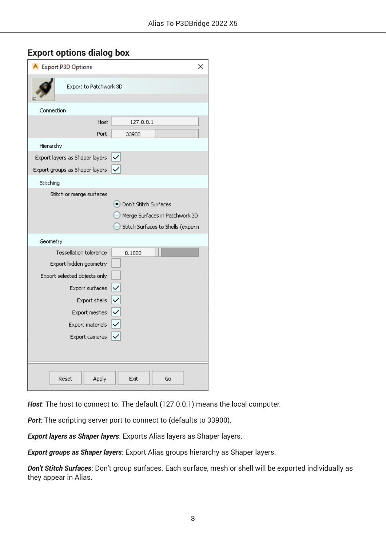#### <span id="page-7-0"></span>**Export options dialog box**

| <b>A</b> Export P3D Options                                | × |
|------------------------------------------------------------|---|
| Export to Patchwork 3D                                     |   |
| Connection                                                 |   |
| Host<br>127.0.0.1                                          |   |
| Port<br>33900                                              |   |
| Hierarchy                                                  |   |
| Export layers as Shaper layers                             |   |
| Export groups as Shaper layers                             |   |
| Stitching                                                  |   |
| Stitch or merge surfaces                                   |   |
| · Don't Stitch Surfaces                                    |   |
| Merge Surfaces in Patchwork 3D.                            |   |
| Stitch Surfaces to Shells (experim                         |   |
| Geometry                                                   |   |
| <b>Tessellation tolerance</b><br>0.1000                    |   |
| Export hidden geometry                                     |   |
| Export selected objects only                               |   |
| Export surfaces                                            |   |
| Export shells                                              |   |
| $\frac{1}{2}$ $\frac{1}{2}$ $\frac{1}{2}$<br>Export meshes |   |
| Export materials                                           |   |
| Export cameras                                             |   |
|                                                            |   |
|                                                            |   |
| Reset<br>Apply<br>Exit<br>Go                               |   |

*Host*: The host to connect to. The default (127.0.0.1) means the local computer.

*Port*: The scripting server port to connect to (defaults to 33900).

*Export layers as Shaper layers*: Exports Alias layers as Shaper layers.

*Export groups as Shaper layers*: Export Alias groups hierarchy as Shaper layers.

*Don't Stitch Surfaces*: Don't group surfaces. Each surface, mesh or shell will be exported individually as they appear in Alias.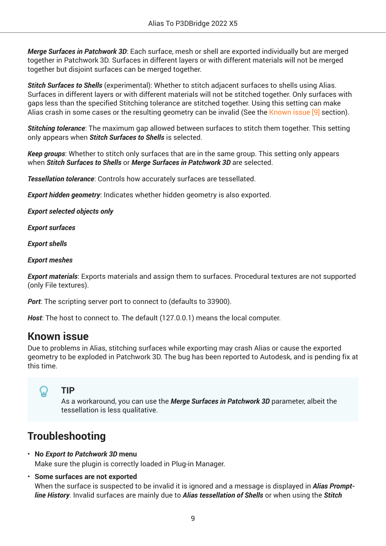<span id="page-8-0"></span>*Merge Surfaces in Patchwork 3D*: Each surface, mesh or shell are exported individually but are merged together in Patchwork 3D. Surfaces in different layers or with different materials will not be merged together but disjoint surfaces can be merged together.

*Stitch Surfaces to Shells* (experimental): Whether to stitch adjacent surfaces to shells using Alias. Surfaces in different layers or with different materials will not be stitched together. Only surfaces with gaps less than the specified Stitching tolerance are stitched together. Using this setting can make Alias crash in some cases or the resulting geometry can be invalid (See the Known issue [9] section).

*Stitching tolerance*: The maximum gap allowed between surfaces to stitch them together. This setting only appears when *Stitch Surfaces to Shells* is selected.

*Keep groups*: Whether to stitch only surfaces that are in the same group. This setting only appears when *Stitch Surfaces to Shells* or *Merge Surfaces in Patchwork 3D* are selected.

*Tessellation tolerance*: Controls how accurately surfaces are tessellated.

*Export hidden geometry*: Indicates whether hidden geometry is also exported.

*Export selected objects only*

*Export surfaces*

*Export shells*

*Export meshes*

*Export materials*: Exports materials and assign them to surfaces. Procedural textures are not supported (only File textures).

*Port*: The scripting server port to connect to (defaults to 33900).

*Host*: The host to connect to. The default (127.0.0.1) means the local computer.

### **Known issue**

Due to problems in Alias, stitching surfaces while exporting may crash Alias or cause the exported geometry to be exploded in Patchwork 3D. The bug has been reported to Autodesk, and is pending fix at this time.

#### **TIP**

As a workaround, you can use the *Merge Surfaces in Patchwork 3D* parameter, albeit the tessellation is less qualitative.

### **Troubleshooting**

#### • **No** *Export to Patchwork 3D* **menu**

Make sure the plugin is correctly loaded in Plug-in Manager.

#### • **Some surfaces are not exported**

When the surface is suspected to be invalid it is ignored and a message is displayed in *Alias Promptline History*. Invalid surfaces are mainly due to *Alias tessellation of Shells* or when using the *Stitch*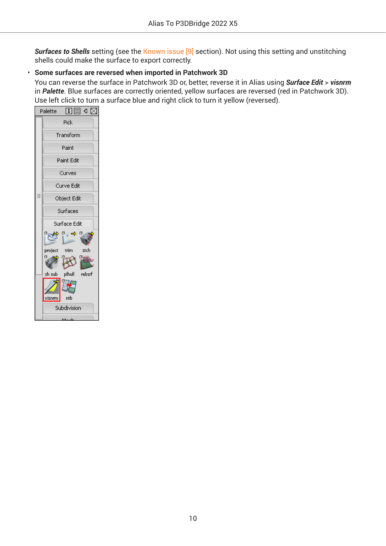**Surfaces to Shells** setting (see the [Known issue \[9\]](#page-8-0) section). Not using this setting and unstitching shells could make the surface to export correctly.

#### • **Some surfaces are reversed when imported in Patchwork 3D**

You can reverse the surface in Patchwork 3D or, better, reverse it in Alias using *Surface Edit* > *visnrm* in *Palette*. Blue surfaces are correctly oriented, yellow surfaces are reversed (red in Patchwork 3D). Use left click to turn a surface blue and right click to turn it yellow (reversed).